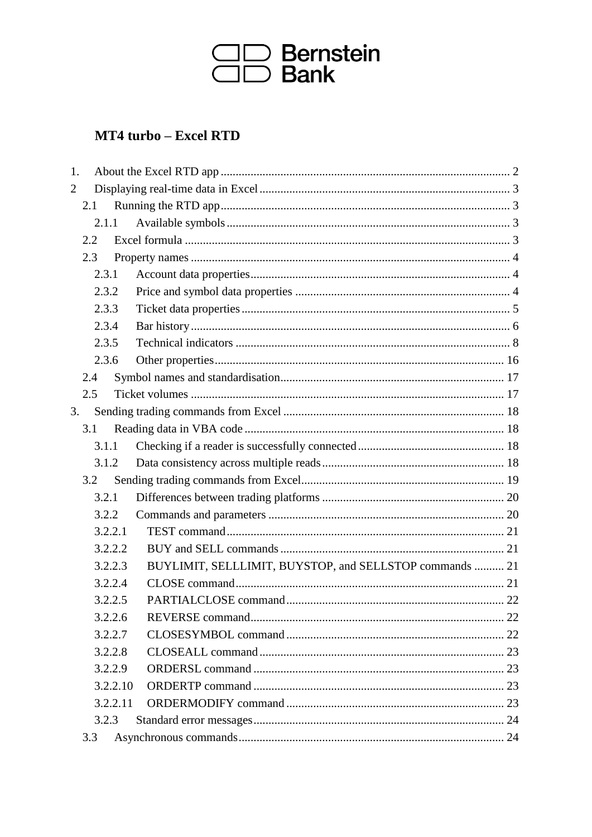

## MT4 turbo - Excel RTD

| 1. |       |          |                                                         |  |
|----|-------|----------|---------------------------------------------------------|--|
| 2  |       |          |                                                         |  |
|    | 2.1   |          |                                                         |  |
|    | 2.1.1 |          |                                                         |  |
|    | 2.2   |          |                                                         |  |
|    | 2.3   |          |                                                         |  |
|    | 2.3.1 |          |                                                         |  |
|    | 2.3.2 |          |                                                         |  |
|    | 2.3.3 |          |                                                         |  |
|    | 2.3.4 |          |                                                         |  |
|    | 2.3.5 |          |                                                         |  |
|    | 2.3.6 |          |                                                         |  |
|    | 2.4   |          |                                                         |  |
|    | 2.5   |          |                                                         |  |
| 3. |       |          |                                                         |  |
|    | 3.1   |          |                                                         |  |
|    | 3.1.1 |          |                                                         |  |
|    | 3.1.2 |          |                                                         |  |
|    | 3.2   |          |                                                         |  |
|    | 3.2.1 |          |                                                         |  |
|    | 3.2.2 |          |                                                         |  |
|    |       | 3.2.2.1  |                                                         |  |
|    |       | 3.2.2.2  |                                                         |  |
|    |       | 3.2.2.3  | BUYLIMIT, SELLLIMIT, BUYSTOP, and SELLSTOP commands  21 |  |
|    |       | 3.2.2.4  |                                                         |  |
|    |       | 3.2.2.5  |                                                         |  |
|    |       | 3.2.2.6  |                                                         |  |
|    |       | 3.2.2.7  |                                                         |  |
|    |       | 3.2.2.8  |                                                         |  |
|    |       | 3.2.2.9  |                                                         |  |
|    |       | 3.2.2.10 |                                                         |  |
|    |       | 3.2.2.11 |                                                         |  |
|    | 3.2.3 |          |                                                         |  |
|    | 3.3   |          |                                                         |  |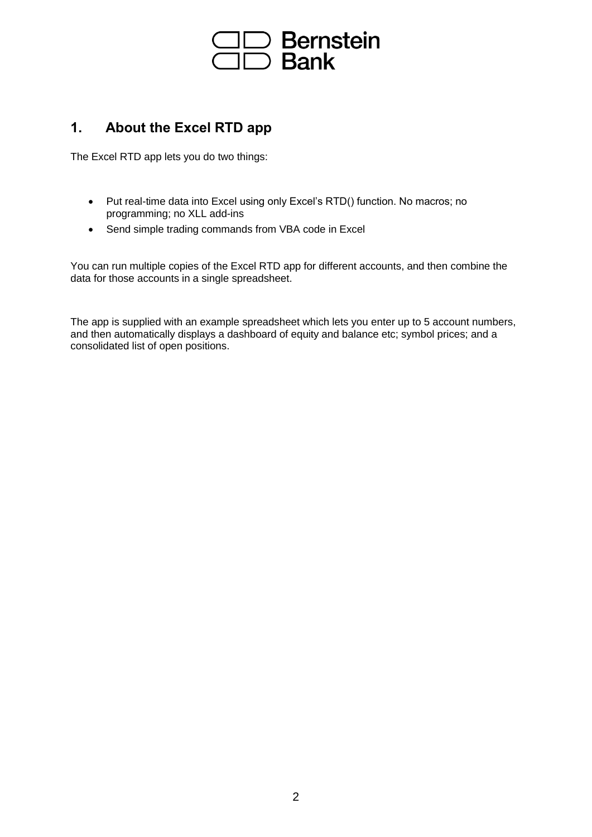

### **1. About the Excel RTD app**

The Excel RTD app lets you do two things:

- Put real-time data into Excel using only Excel's RTD() function. No macros; no programming; no XLL add-ins
- Send simple trading commands from VBA code in Excel

You can run multiple copies of the Excel RTD app for different accounts, and then combine the data for those accounts in a single spreadsheet.

The app is supplied with an example spreadsheet which lets you enter up to 5 account numbers, and then automatically displays a dashboard of equity and balance etc; symbol prices; and a consolidated list of open positions.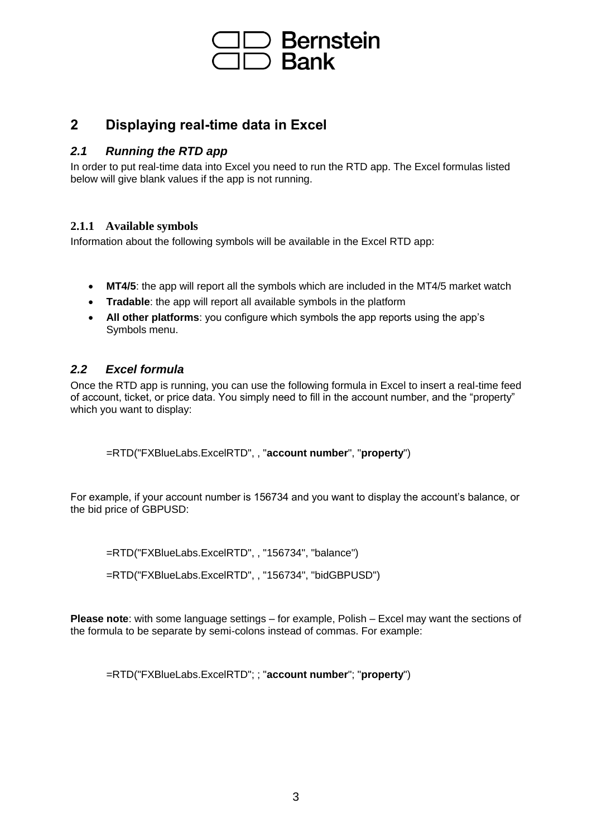

### **2 Displaying real-time data in Excel**

### *2.1 Running the RTD app*

In order to put real-time data into Excel you need to run the RTD app. The Excel formulas listed below will give blank values if the app is not running.

### **2.1.1 Available symbols**

Information about the following symbols will be available in the Excel RTD app:

- **MT4/5**: the app will report all the symbols which are included in the MT4/5 market watch
- **Tradable**: the app will report all available symbols in the platform
- **All other platforms**: you configure which symbols the app reports using the app's Symbols menu.

### *2.2 Excel formula*

Once the RTD app is running, you can use the following formula in Excel to insert a real-time feed of account, ticket, or price data. You simply need to fill in the account number, and the "property" which you want to display:

=RTD("FXBlueLabs.ExcelRTD", , "**account number**", "**property**")

For example, if your account number is 156734 and you want to display the account's balance, or the bid price of GBPUSD:

=RTD("FXBlueLabs.ExcelRTD", , "156734", "balance")

=RTD("FXBlueLabs.ExcelRTD", , "156734", "bidGBPUSD")

**Please note**: with some language settings – for example, Polish – Excel may want the sections of the formula to be separate by semi-colons instead of commas. For example:

=RTD("FXBlueLabs.ExcelRTD"; ; "**account number**"; "**property**")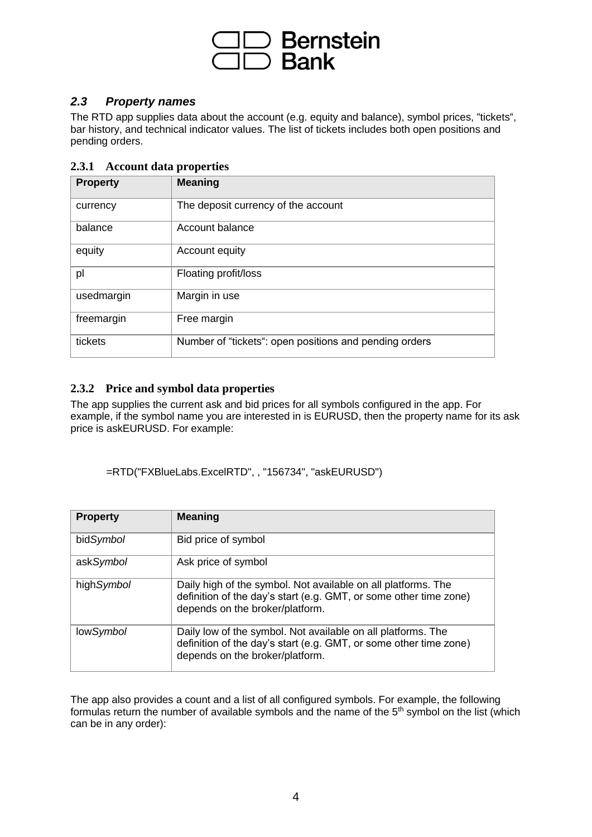

### *2.3 Property names*

The RTD app supplies data about the account (e.g. equity and balance), symbol prices, "tickets", bar history, and technical indicator values. The list of tickets includes both open positions and pending orders.

### **2.3.1 Account data properties**

| <b>Property</b> | <b>Meaning</b>                                         |
|-----------------|--------------------------------------------------------|
| currency        | The deposit currency of the account                    |
| balance         | Account balance                                        |
| equity          | Account equity                                         |
| pl              | Floating profit/loss                                   |
| usedmargin      | Margin in use                                          |
| freemargin      | Free margin                                            |
| tickets         | Number of "tickets": open positions and pending orders |

### **2.3.2 Price and symbol data properties**

The app supplies the current ask and bid prices for all symbols configured in the app. For example, if the symbol name you are interested in is EURUSD, then the property name for its ask price is askEURUSD. For example:

=RTD("FXBlueLabs.ExcelRTD", , "156734", "askEURUSD")

| <b>Property</b> | <b>Meaning</b>                                                                                                                                                        |
|-----------------|-----------------------------------------------------------------------------------------------------------------------------------------------------------------------|
| bidSymbol       | Bid price of symbol                                                                                                                                                   |
| askSymbol       | Ask price of symbol                                                                                                                                                   |
| highSymbol      | Daily high of the symbol. Not available on all platforms. The<br>definition of the day's start (e.g. GMT, or some other time zone)<br>depends on the broker/platform. |
| lowSymbol       | Daily low of the symbol. Not available on all platforms. The<br>definition of the day's start (e.g. GMT, or some other time zone)<br>depends on the broker/platform.  |

The app also provides a count and a list of all configured symbols. For example, the following formulas return the number of available symbols and the name of the  $5<sup>th</sup>$  symbol on the list (which can be in any order):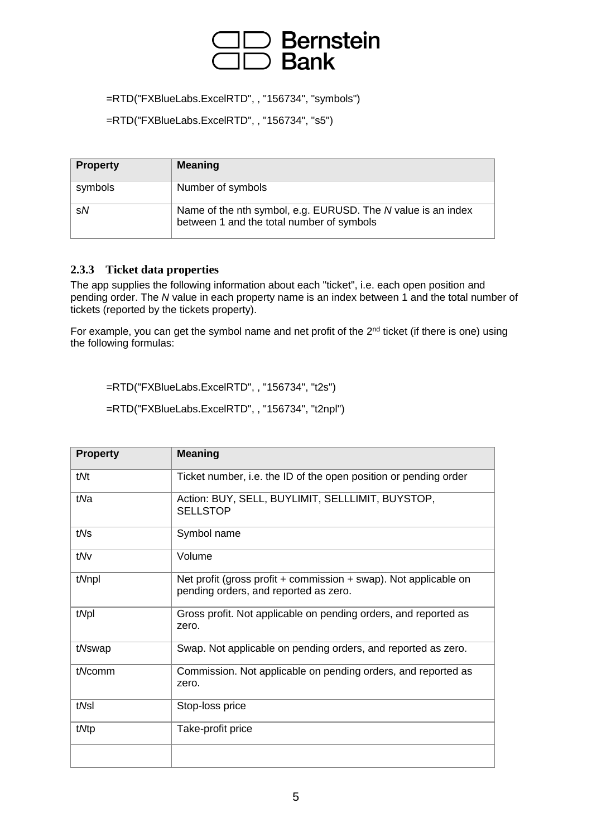## Bernstein<br>Bank

=RTD("FXBlueLabs.ExcelRTD", , "156734", "symbols")

=RTD("FXBlueLabs.ExcelRTD", , "156734", "s5")

| <b>Property</b> | <b>Meaning</b>                                                                                            |
|-----------------|-----------------------------------------------------------------------------------------------------------|
| symbols         | Number of symbols                                                                                         |
| sN              | Name of the nth symbol, e.g. EURUSD. The N value is an index<br>between 1 and the total number of symbols |

### **2.3.3 Ticket data properties**

The app supplies the following information about each "ticket", i.e. each open position and pending order. The *N* value in each property name is an index between 1 and the total number of tickets (reported by the tickets property).

For example, you can get the symbol name and net profit of the 2<sup>nd</sup> ticket (if there is one) using the following formulas:

=RTD("FXBlueLabs.ExcelRTD", , "156734", "t2s")

=RTD("FXBlueLabs.ExcelRTD", , "156734", "t2npl")

| <b>Property</b> | <b>Meaning</b>                                                                                            |
|-----------------|-----------------------------------------------------------------------------------------------------------|
| tMt             | Ticket number, i.e. the ID of the open position or pending order                                          |
| tNa             | Action: BUY, SELL, BUYLIMIT, SELLLIMIT, BUYSTOP,<br><b>SELLSTOP</b>                                       |
| tNs             | Symbol name                                                                                               |
| tMv             | Volume                                                                                                    |
| t/Vnpl          | Net profit (gross profit + commission + swap). Not applicable on<br>pending orders, and reported as zero. |
| tNpl            | Gross profit. Not applicable on pending orders, and reported as<br>zero.                                  |
| tNswap          | Swap. Not applicable on pending orders, and reported as zero.                                             |
| tNcomm          | Commission. Not applicable on pending orders, and reported as<br>zero.                                    |
| tNsl            | Stop-loss price                                                                                           |
| tMtp            | Take-profit price                                                                                         |
|                 |                                                                                                           |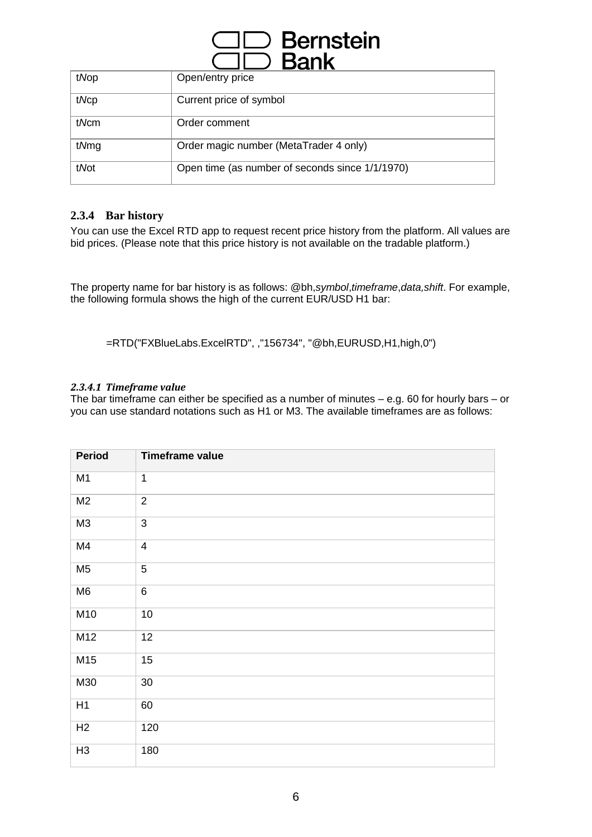| $\supset$ Bernstein<br><b>Bank</b> |                                                 |  |
|------------------------------------|-------------------------------------------------|--|
| tNop                               | Open/entry price                                |  |
| tNcp                               | Current price of symbol                         |  |
| tNcm                               | Order comment                                   |  |
| tNmg                               | Order magic number (MetaTrader 4 only)          |  |
| tNot                               | Open time (as number of seconds since 1/1/1970) |  |

### **2.3.4 Bar history**

You can use the Excel RTD app to request recent price history from the platform. All values are bid prices. (Please note that this price history is not available on the tradable platform.)

The property name for bar history is as follows: @bh,*symbol*,*timeframe*,*data,shift*. For example, the following formula shows the high of the current EUR/USD H1 bar:

=RTD("FXBlueLabs.ExcelRTD", ,"156734", "@bh,EURUSD,H1,high,0")

### *2.3.4.1 Timeframe value*

The bar timeframe can either be specified as a number of minutes – e.g. 60 for hourly bars – or you can use standard notations such as H1 or M3. The available timeframes are as follows:

| <b>Period</b>  | <b>Timeframe value</b>  |
|----------------|-------------------------|
| M <sub>1</sub> | $\mathbf 1$             |
| M <sub>2</sub> | $\overline{2}$          |
| M3             | $\overline{3}$          |
| M <sub>4</sub> | $\overline{\mathbf{4}}$ |
| M <sub>5</sub> | $\overline{5}$          |
| M <sub>6</sub> | 6                       |
| M10            | $10$                    |
| M12            | 12                      |
| M15            | 15                      |
| M30            | $30\,$                  |
| H1             | 60                      |
| H2             | 120                     |
| H3             | 180                     |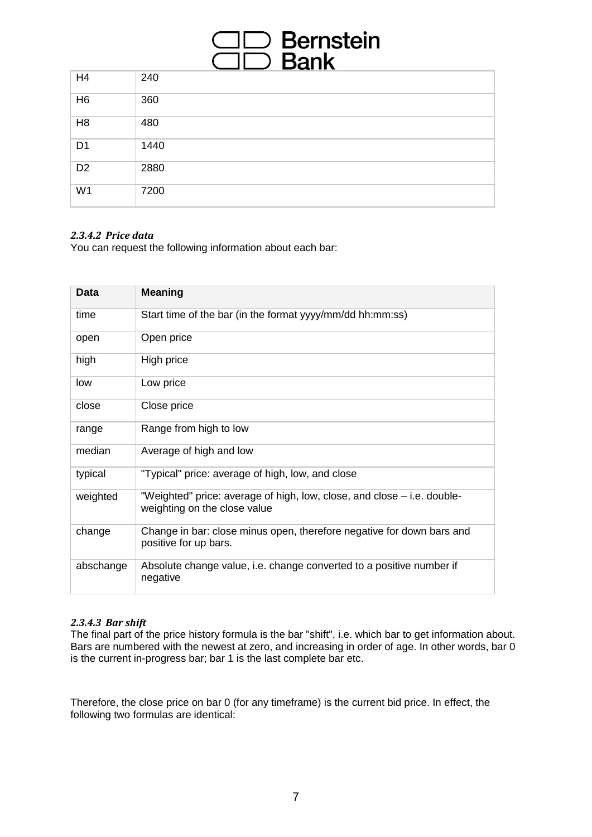# ⊃ Bernste<mark>in</mark><br>⊃ Bank

| H <sub>4</sub> | 240  |
|----------------|------|
| H <sub>6</sub> | 360  |
| H <sub>8</sub> | 480  |
| D <sub>1</sub> | 1440 |
| D <sub>2</sub> | 2880 |
| W <sub>1</sub> | 7200 |

### *2.3.4.2 Price data*

You can request the following information about each bar:

| Data      | <b>Meaning</b>                                                                                          |
|-----------|---------------------------------------------------------------------------------------------------------|
| time      | Start time of the bar (in the format yyyy/mm/dd hh:mm:ss)                                               |
| open      | Open price                                                                                              |
| high      | High price                                                                                              |
| low       | Low price                                                                                               |
| close     | Close price                                                                                             |
| range     | Range from high to low                                                                                  |
| median    | Average of high and low                                                                                 |
| typical   | "Typical" price: average of high, low, and close                                                        |
| weighted  | "Weighted" price: average of high, low, close, and close – i.e. double-<br>weighting on the close value |
| change    | Change in bar: close minus open, therefore negative for down bars and<br>positive for up bars.          |
| abschange | Absolute change value, i.e. change converted to a positive number if<br>negative                        |

### *2.3.4.3 Bar shift*

The final part of the price history formula is the bar "shift", i.e. which bar to get information about. Bars are numbered with the newest at zero, and increasing in order of age. In other words, bar 0 is the current in-progress bar; bar 1 is the last complete bar etc.

Therefore, the close price on bar 0 (for any timeframe) is the current bid price. In effect, the following two formulas are identical: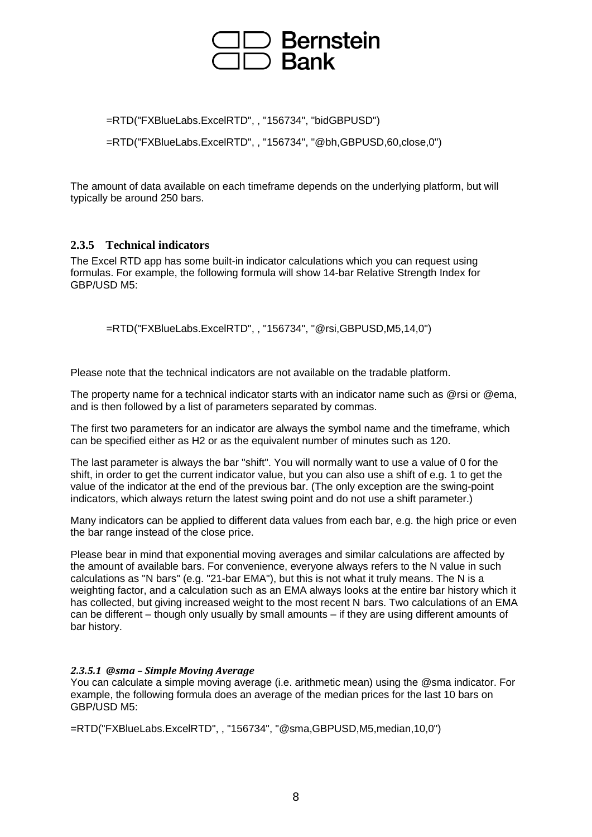## **Bernstein Bank**

=RTD("FXBlueLabs.ExcelRTD", , "156734", "bidGBPUSD") =RTD("FXBlueLabs.ExcelRTD", , "156734", "@bh,GBPUSD,60,close,0")

The amount of data available on each timeframe depends on the underlying platform, but will typically be around 250 bars.

### **2.3.5 Technical indicators**

The Excel RTD app has some built-in indicator calculations which you can request using formulas. For example, the following formula will show 14-bar Relative Strength Index for GBP/USD M5:

=RTD("FXBlueLabs.ExcelRTD", , "156734", "@rsi,GBPUSD,M5,14,0")

Please note that the technical indicators are not available on the tradable platform.

The property name for a technical indicator starts with an indicator name such as @rsi or @ema, and is then followed by a list of parameters separated by commas.

The first two parameters for an indicator are always the symbol name and the timeframe, which can be specified either as H2 or as the equivalent number of minutes such as 120.

The last parameter is always the bar "shift". You will normally want to use a value of 0 for the shift, in order to get the current indicator value, but you can also use a shift of e.g. 1 to get the value of the indicator at the end of the previous bar. (The only exception are the swing-point indicators, which always return the latest swing point and do not use a shift parameter.)

Many indicators can be applied to different data values from each bar, e.g. the high price or even the bar range instead of the close price.

Please bear in mind that exponential moving averages and similar calculations are affected by the amount of available bars. For convenience, everyone always refers to the N value in such calculations as "N bars" (e.g. "21-bar EMA"), but this is not what it truly means. The N is a weighting factor, and a calculation such as an EMA always looks at the entire bar history which it has collected, but giving increased weight to the most recent N bars. Two calculations of an EMA can be different – though only usually by small amounts – if they are using different amounts of bar history.

### *2.3.5.1 @sma – Simple Moving Average*

You can calculate a simple moving average (i.e. arithmetic mean) using the @sma indicator. For example, the following formula does an average of the median prices for the last 10 bars on GBP/USD M5:

=RTD("FXBlueLabs.ExcelRTD", , "156734", "@sma,GBPUSD,M5,median,10,0")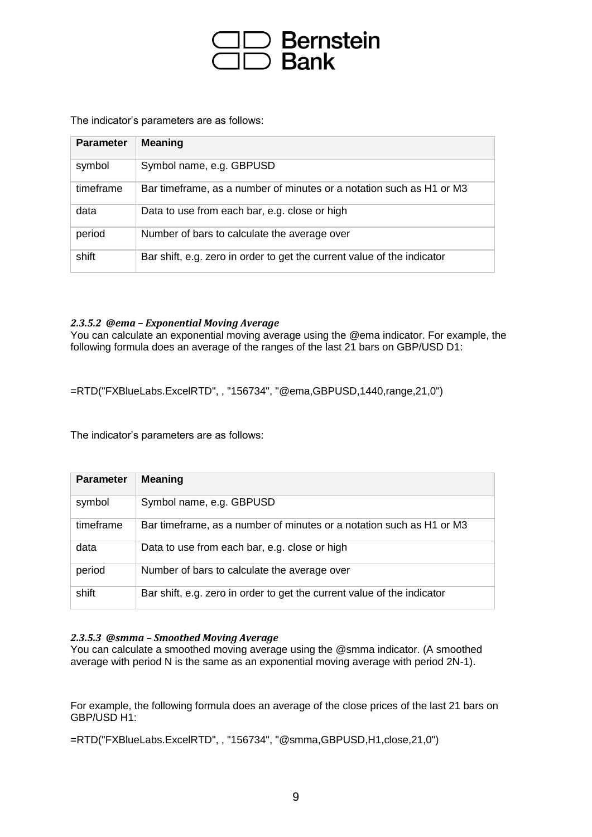

The indicator's parameters are as follows:

| <b>Parameter</b> | <b>Meaning</b>                                                          |
|------------------|-------------------------------------------------------------------------|
| symbol           | Symbol name, e.g. GBPUSD                                                |
| timeframe        | Bar timeframe, as a number of minutes or a notation such as H1 or M3    |
| data             | Data to use from each bar, e.g. close or high                           |
| period           | Number of bars to calculate the average over                            |
| shift            | Bar shift, e.g. zero in order to get the current value of the indicator |

### *2.3.5.2 @ema – Exponential Moving Average*

You can calculate an exponential moving average using the @ema indicator. For example, the following formula does an average of the ranges of the last 21 bars on GBP/USD D1:

=RTD("FXBlueLabs.ExcelRTD", , "156734", "@ema,GBPUSD,1440,range,21,0")

The indicator's parameters are as follows:

| <b>Parameter</b> | <b>Meaning</b>                                                          |
|------------------|-------------------------------------------------------------------------|
| symbol           | Symbol name, e.g. GBPUSD                                                |
| timeframe        | Bar timeframe, as a number of minutes or a notation such as H1 or M3    |
| data             | Data to use from each bar, e.g. close or high                           |
| period           | Number of bars to calculate the average over                            |
| shift            | Bar shift, e.g. zero in order to get the current value of the indicator |

#### *2.3.5.3 @smma – Smoothed Moving Average*

You can calculate a smoothed moving average using the @smma indicator. (A smoothed average with period N is the same as an exponential moving average with period 2N-1).

For example, the following formula does an average of the close prices of the last 21 bars on GBP/USD H1:

=RTD("FXBlueLabs.ExcelRTD", , "156734", "@smma,GBPUSD,H1,close,21,0")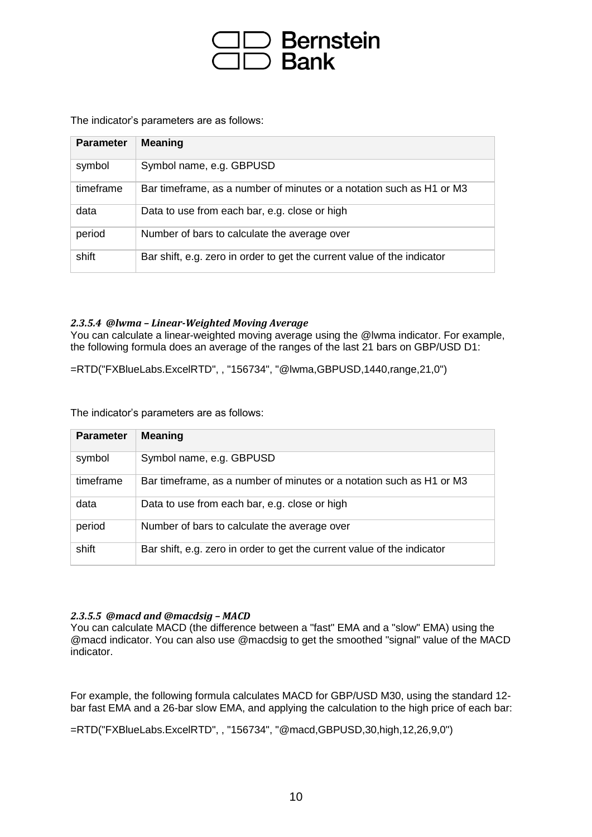

The indicator's parameters are as follows:

| <b>Parameter</b> | <b>Meaning</b>                                                          |
|------------------|-------------------------------------------------------------------------|
| symbol           | Symbol name, e.g. GBPUSD                                                |
| timeframe        | Bar timeframe, as a number of minutes or a notation such as H1 or M3    |
| data             | Data to use from each bar, e.g. close or high                           |
| period           | Number of bars to calculate the average over                            |
| shift            | Bar shift, e.g. zero in order to get the current value of the indicator |

### *2.3.5.4 @lwma – Linear-Weighted Moving Average*

You can calculate a linear-weighted moving average using the @lwma indicator. For example, the following formula does an average of the ranges of the last 21 bars on GBP/USD D1:

=RTD("FXBlueLabs.ExcelRTD", , "156734", "@lwma,GBPUSD,1440,range,21,0")

The indicator's parameters are as follows:

| <b>Parameter</b> | <b>Meaning</b>                                                          |
|------------------|-------------------------------------------------------------------------|
| symbol           | Symbol name, e.g. GBPUSD                                                |
| timeframe        | Bar timeframe, as a number of minutes or a notation such as H1 or M3    |
| data             | Data to use from each bar, e.g. close or high                           |
| period           | Number of bars to calculate the average over                            |
| shift            | Bar shift, e.g. zero in order to get the current value of the indicator |

### *2.3.5.5 @macd and @macdsig – MACD*

You can calculate MACD (the difference between a "fast" EMA and a "slow" EMA) using the @macd indicator. You can also use @macdsig to get the smoothed "signal" value of the MACD indicator.

For example, the following formula calculates MACD for GBP/USD M30, using the standard 12 bar fast EMA and a 26-bar slow EMA, and applying the calculation to the high price of each bar:

=RTD("FXBlueLabs.ExcelRTD", , "156734", "@macd,GBPUSD,30,high,12,26,9,0")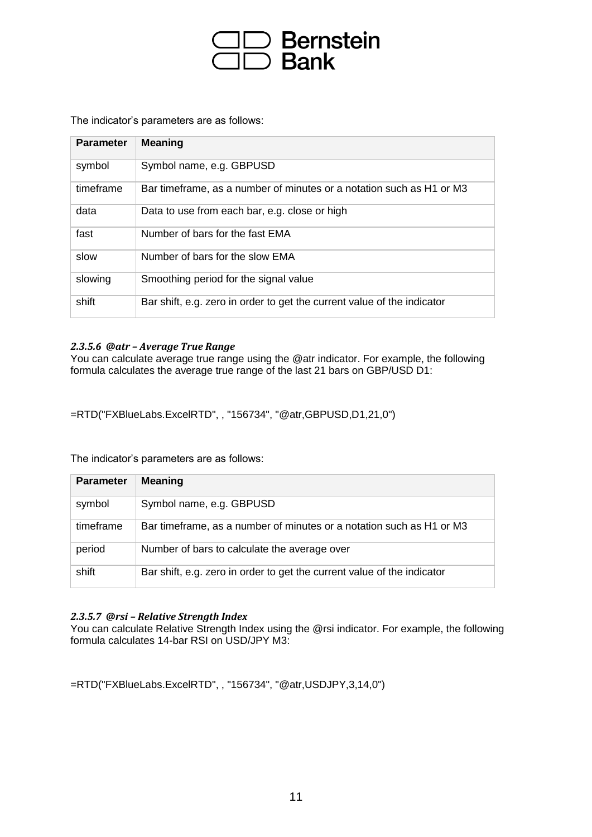# ⊃ Bernstein<br>⊃ Bank

The indicator's parameters are as follows:

| <b>Parameter</b> | <b>Meaning</b>                                                          |
|------------------|-------------------------------------------------------------------------|
| symbol           | Symbol name, e.g. GBPUSD                                                |
| timeframe        | Bar timeframe, as a number of minutes or a notation such as H1 or M3    |
| data             | Data to use from each bar, e.g. close or high                           |
| fast             | Number of bars for the fast EMA                                         |
| slow             | Number of bars for the slow EMA                                         |
| slowing          | Smoothing period for the signal value                                   |
| shift            | Bar shift, e.g. zero in order to get the current value of the indicator |

### *2.3.5.6 @atr – Average True Range*

You can calculate average true range using the @atr indicator. For example, the following formula calculates the average true range of the last 21 bars on GBP/USD D1:

=RTD("FXBlueLabs.ExcelRTD", , "156734", "@atr,GBPUSD,D1,21,0")

The indicator's parameters are as follows:

| <b>Parameter</b> | <b>Meaning</b>                                                          |
|------------------|-------------------------------------------------------------------------|
| symbol           | Symbol name, e.g. GBPUSD                                                |
| timeframe        | Bar timeframe, as a number of minutes or a notation such as H1 or M3    |
| period           | Number of bars to calculate the average over                            |
| shift            | Bar shift, e.g. zero in order to get the current value of the indicator |

### *2.3.5.7 @rsi – Relative Strength Index*

You can calculate Relative Strength Index using the @rsi indicator. For example, the following formula calculates 14-bar RSI on USD/JPY M3:

=RTD("FXBlueLabs.ExcelRTD", , "156734", "@atr,USDJPY,3,14,0")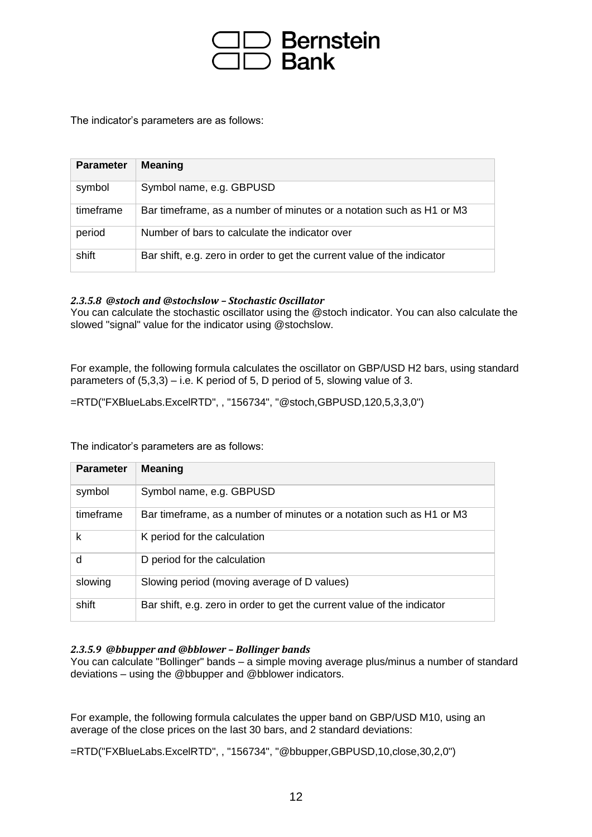

The indicator's parameters are as follows:

| <b>Parameter</b> | <b>Meaning</b>                                                          |
|------------------|-------------------------------------------------------------------------|
| symbol           | Symbol name, e.g. GBPUSD                                                |
| timeframe        | Bar timeframe, as a number of minutes or a notation such as H1 or M3    |
| period           | Number of bars to calculate the indicator over                          |
| shift            | Bar shift, e.g. zero in order to get the current value of the indicator |

### *2.3.5.8 @stoch and @stochslow – Stochastic Oscillator*

You can calculate the stochastic oscillator using the @stoch indicator. You can also calculate the slowed "signal" value for the indicator using @stochslow.

For example, the following formula calculates the oscillator on GBP/USD H2 bars, using standard parameters of  $(5,3,3)$  – i.e. K period of 5, D period of 5, slowing value of 3.

=RTD("FXBlueLabs.ExcelRTD", , "156734", "@stoch,GBPUSD,120,5,3,3,0")

The indicator's parameters are as follows:

| <b>Parameter</b> | <b>Meaning</b>                                                          |
|------------------|-------------------------------------------------------------------------|
| symbol           | Symbol name, e.g. GBPUSD                                                |
| timeframe        | Bar timeframe, as a number of minutes or a notation such as H1 or M3    |
| k                | K period for the calculation                                            |
| d                | D period for the calculation                                            |
| slowing          | Slowing period (moving average of D values)                             |
| shift            | Bar shift, e.g. zero in order to get the current value of the indicator |

#### *2.3.5.9 @bbupper and @bblower – Bollinger bands*

You can calculate "Bollinger" bands – a simple moving average plus/minus a number of standard deviations – using the @bbupper and @bblower indicators.

For example, the following formula calculates the upper band on GBP/USD M10, using an average of the close prices on the last 30 bars, and 2 standard deviations:

=RTD("FXBlueLabs.ExcelRTD", , "156734", "@bbupper,GBPUSD,10,close,30,2,0")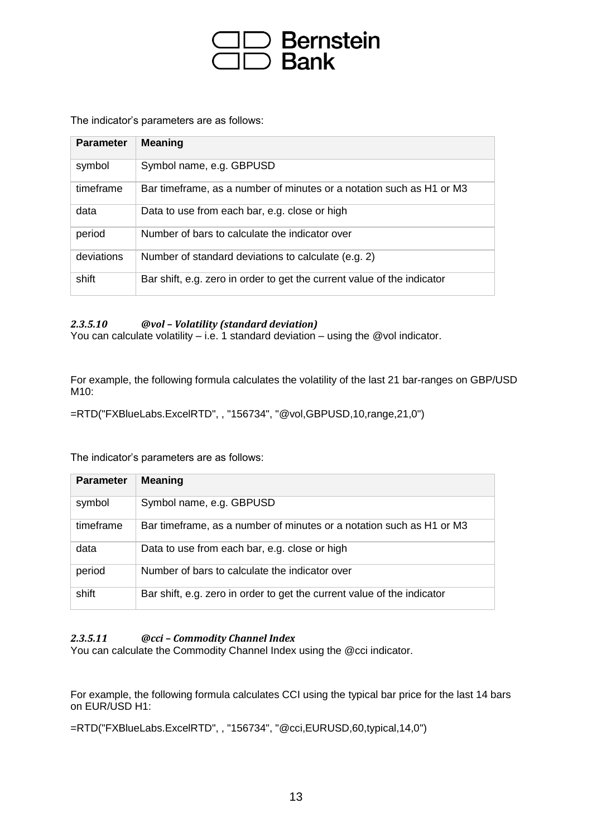# ) Bernstein<br>) Bank

The indicator's parameters are as follows:

| <b>Parameter</b> | <b>Meaning</b>                                                          |
|------------------|-------------------------------------------------------------------------|
| symbol           | Symbol name, e.g. GBPUSD                                                |
| timeframe        | Bar timeframe, as a number of minutes or a notation such as H1 or M3    |
| data             | Data to use from each bar, e.g. close or high                           |
| period           | Number of bars to calculate the indicator over                          |
| deviations       | Number of standard deviations to calculate (e.g. 2)                     |
| shift            | Bar shift, e.g. zero in order to get the current value of the indicator |

### *2.3.5.10 @vol – Volatility (standard deviation)*

You can calculate volatility – i.e. 1 standard deviation – using the @vol indicator.

For example, the following formula calculates the volatility of the last 21 bar-ranges on GBP/USD M10:

=RTD("FXBlueLabs.ExcelRTD", , "156734", "@vol,GBPUSD,10,range,21,0")

The indicator's parameters are as follows:

| <b>Parameter</b> | <b>Meaning</b>                                                          |
|------------------|-------------------------------------------------------------------------|
| symbol           | Symbol name, e.g. GBPUSD                                                |
| timeframe        | Bar timeframe, as a number of minutes or a notation such as H1 or M3    |
| data             | Data to use from each bar, e.g. close or high                           |
| period           | Number of bars to calculate the indicator over                          |
| shift            | Bar shift, e.g. zero in order to get the current value of the indicator |

### *2.3.5.11 @cci – Commodity Channel Index*

You can calculate the Commodity Channel Index using the @cci indicator.

For example, the following formula calculates CCI using the typical bar price for the last 14 bars on EUR/USD H1:

=RTD("FXBlueLabs.ExcelRTD", , "156734", "@cci,EURUSD,60,typical,14,0")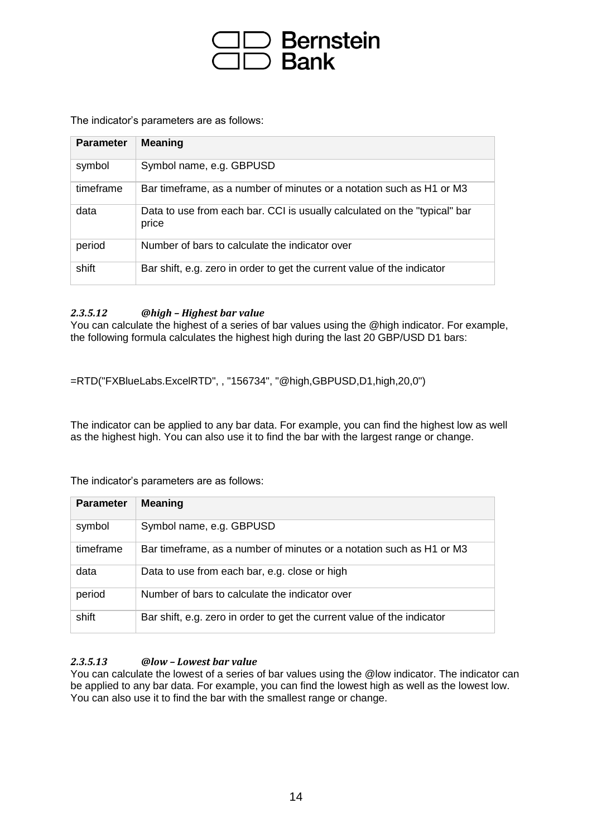# Bernstein<br>Bank

The indicator's parameters are as follows:

| <b>Parameter</b> | <b>Meaning</b>                                                                     |
|------------------|------------------------------------------------------------------------------------|
| symbol           | Symbol name, e.g. GBPUSD                                                           |
| timeframe        | Bar timeframe, as a number of minutes or a notation such as H1 or M3               |
| data             | Data to use from each bar. CCI is usually calculated on the "typical" bar<br>price |
| period           | Number of bars to calculate the indicator over                                     |
| shift            | Bar shift, e.g. zero in order to get the current value of the indicator            |

### *2.3.5.12 @high – Highest bar value*

You can calculate the highest of a series of bar values using the @high indicator. For example, the following formula calculates the highest high during the last 20 GBP/USD D1 bars:

=RTD("FXBlueLabs.ExcelRTD", , "156734", "@high,GBPUSD,D1,high,20,0")

The indicator can be applied to any bar data. For example, you can find the highest low as well as the highest high. You can also use it to find the bar with the largest range or change.

The indicator's parameters are as follows:

| <b>Parameter</b> | <b>Meaning</b>                                                          |
|------------------|-------------------------------------------------------------------------|
| symbol           | Symbol name, e.g. GBPUSD                                                |
| timeframe        | Bar timeframe, as a number of minutes or a notation such as H1 or M3    |
| data             | Data to use from each bar, e.g. close or high                           |
| period           | Number of bars to calculate the indicator over                          |
| shift            | Bar shift, e.g. zero in order to get the current value of the indicator |

### *2.3.5.13 @low – Lowest bar value*

You can calculate the lowest of a series of bar values using the @low indicator. The indicator can be applied to any bar data. For example, you can find the lowest high as well as the lowest low. You can also use it to find the bar with the smallest range or change.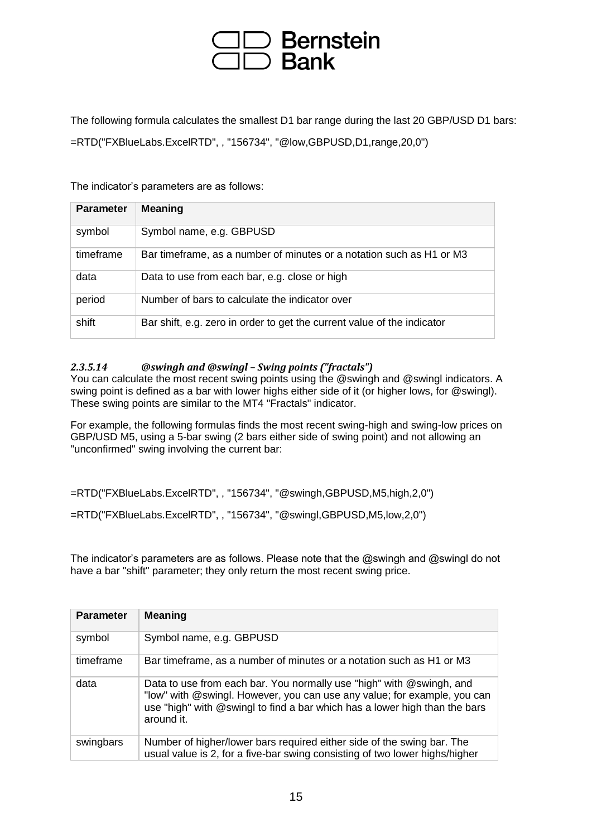## **Bernstein Bank**

The following formula calculates the smallest D1 bar range during the last 20 GBP/USD D1 bars: =RTD("FXBlueLabs.ExcelRTD", , "156734", "@low,GBPUSD,D1,range,20,0")

The indicator's parameters are as follows:

| <b>Parameter</b> | <b>Meaning</b>                                                          |
|------------------|-------------------------------------------------------------------------|
| symbol           | Symbol name, e.g. GBPUSD                                                |
| timeframe        | Bar timeframe, as a number of minutes or a notation such as H1 or M3    |
| data             | Data to use from each bar, e.g. close or high                           |
| period           | Number of bars to calculate the indicator over                          |
| shift            | Bar shift, e.g. zero in order to get the current value of the indicator |

### *2.3.5.14 @swingh and @swingl – Swing points ("fractals")*

You can calculate the most recent swing points using the @swingh and @swingl indicators. A swing point is defined as a bar with lower highs either side of it (or higher lows, for @swingl). These swing points are similar to the MT4 "Fractals" indicator.

For example, the following formulas finds the most recent swing-high and swing-low prices on GBP/USD M5, using a 5-bar swing (2 bars either side of swing point) and not allowing an "unconfirmed" swing involving the current bar:

=RTD("FXBlueLabs.ExcelRTD", , "156734", "@swingh,GBPUSD,M5,high,2,0")

=RTD("FXBlueLabs.ExcelRTD", , "156734", "@swingl,GBPUSD,M5,low,2,0")

The indicator's parameters are as follows. Please note that the @swingh and @swingl do not have a bar "shift" parameter; they only return the most recent swing price.

| <b>Parameter</b> | <b>Meaning</b>                                                                                                                                                                                                                               |
|------------------|----------------------------------------------------------------------------------------------------------------------------------------------------------------------------------------------------------------------------------------------|
| symbol           | Symbol name, e.g. GBPUSD                                                                                                                                                                                                                     |
| timeframe        | Bar timeframe, as a number of minutes or a notation such as H1 or M3                                                                                                                                                                         |
| data             | Data to use from each bar. You normally use "high" with @swingh, and<br>"low" with @swingl. However, you can use any value; for example, you can<br>use "high" with @swingl to find a bar which has a lower high than the bars<br>around it. |
| swingbars        | Number of higher/lower bars required either side of the swing bar. The<br>usual value is 2, for a five-bar swing consisting of two lower highs/higher                                                                                        |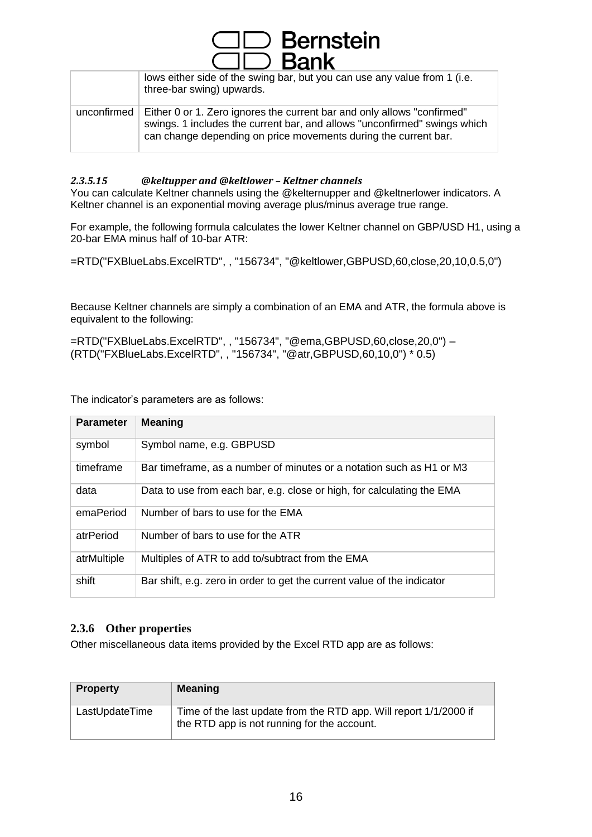| $\square \square$ Bank |                                                                                                                                                                                                                         |
|------------------------|-------------------------------------------------------------------------------------------------------------------------------------------------------------------------------------------------------------------------|
|                        | lows either side of the swing bar, but you can use any value from 1 (i.e.<br>three-bar swing) upwards.                                                                                                                  |
| unconfirmed            | Either 0 or 1. Zero ignores the current bar and only allows "confirmed"<br>swings. 1 includes the current bar, and allows "unconfirmed" swings which<br>can change depending on price movements during the current bar. |

 $\Box$  Bernstein

### *2.3.5.15 @keltupper and @keltlower – Keltner channels*

You can calculate Keltner channels using the @kelternupper and @keltnerlower indicators. A Keltner channel is an exponential moving average plus/minus average true range.

For example, the following formula calculates the lower Keltner channel on GBP/USD H1, using a 20-bar EMA minus half of 10-bar ATR:

=RTD("FXBlueLabs.ExcelRTD", , "156734", "@keltlower,GBPUSD,60,close,20,10,0.5,0")

Because Keltner channels are simply a combination of an EMA and ATR, the formula above is equivalent to the following:

=RTD("FXBlueLabs.ExcelRTD", , "156734", "@ema,GBPUSD,60,close,20,0") – (RTD("FXBlueLabs.ExcelRTD", , "156734", "@atr,GBPUSD,60,10,0") \* 0.5)

The indicator's parameters are as follows:

| <b>Parameter</b> | <b>Meaning</b>                                                          |
|------------------|-------------------------------------------------------------------------|
| symbol           | Symbol name, e.g. GBPUSD                                                |
| timeframe        | Bar timeframe, as a number of minutes or a notation such as H1 or M3    |
| data             | Data to use from each bar, e.g. close or high, for calculating the EMA  |
| emaPeriod        | Number of bars to use for the EMA                                       |
| atrPeriod        | Number of bars to use for the ATR                                       |
| atrMultiple      | Multiples of ATR to add to/subtract from the EMA                        |
| shift            | Bar shift, e.g. zero in order to get the current value of the indicator |

### **2.3.6 Other properties**

Other miscellaneous data items provided by the Excel RTD app are as follows:

| <b>Property</b> | <b>Meaning</b>                                                                                                   |
|-----------------|------------------------------------------------------------------------------------------------------------------|
| LastUpdateTime  | Time of the last update from the RTD app. Will report 1/1/2000 if<br>the RTD app is not running for the account. |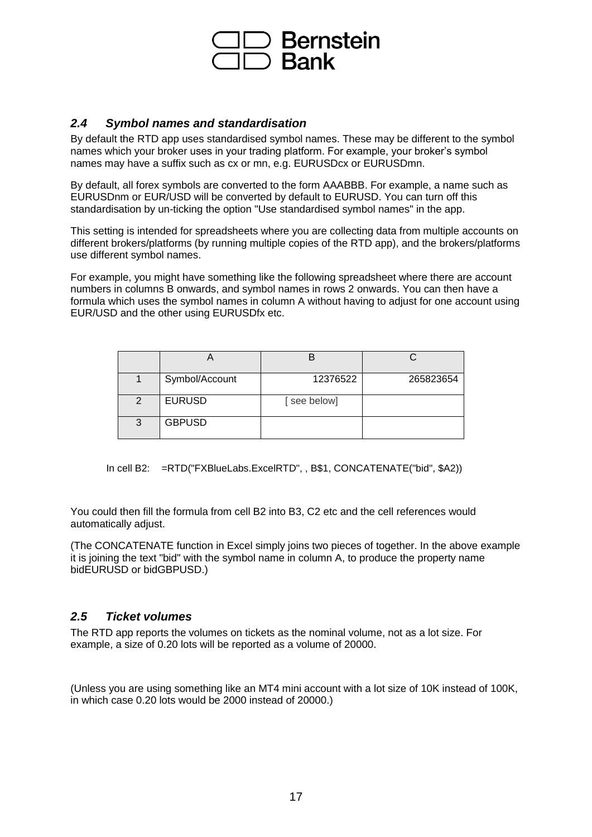

### *2.4 Symbol names and standardisation*

By default the RTD app uses standardised symbol names. These may be different to the symbol names which your broker uses in your trading platform. For example, your broker's symbol names may have a suffix such as cx or mn, e.g. EURUSDcx or EURUSDmn.

By default, all forex symbols are converted to the form AAABBB. For example, a name such as EURUSDnm or EUR/USD will be converted by default to EURUSD. You can turn off this standardisation by un-ticking the option "Use standardised symbol names" in the app.

This setting is intended for spreadsheets where you are collecting data from multiple accounts on different brokers/platforms (by running multiple copies of the RTD app), and the brokers/platforms use different symbol names.

For example, you might have something like the following spreadsheet where there are account numbers in columns B onwards, and symbol names in rows 2 onwards. You can then have a formula which uses the symbol names in column A without having to adjust for one account using EUR/USD and the other using EURUSDfx etc.

|   | Symbol/Account | 12376522    | 265823654 |
|---|----------------|-------------|-----------|
| 2 | <b>EURUSD</b>  | [see below] |           |
| 3 | <b>GBPUSD</b>  |             |           |

In cell B2: =RTD("FXBlueLabs.ExcelRTD", , B\$1, CONCATENATE("bid", \$A2))

You could then fill the formula from cell B2 into B3, C2 etc and the cell references would automatically adjust.

(The CONCATENATE function in Excel simply joins two pieces of together. In the above example it is joining the text "bid" with the symbol name in column A, to produce the property name bidEURUSD or bidGBPUSD.)

### *2.5 Ticket volumes*

The RTD app reports the volumes on tickets as the nominal volume, not as a lot size. For example, a size of 0.20 lots will be reported as a volume of 20000.

(Unless you are using something like an MT4 mini account with a lot size of 10K instead of 100K, in which case 0.20 lots would be 2000 instead of 20000.)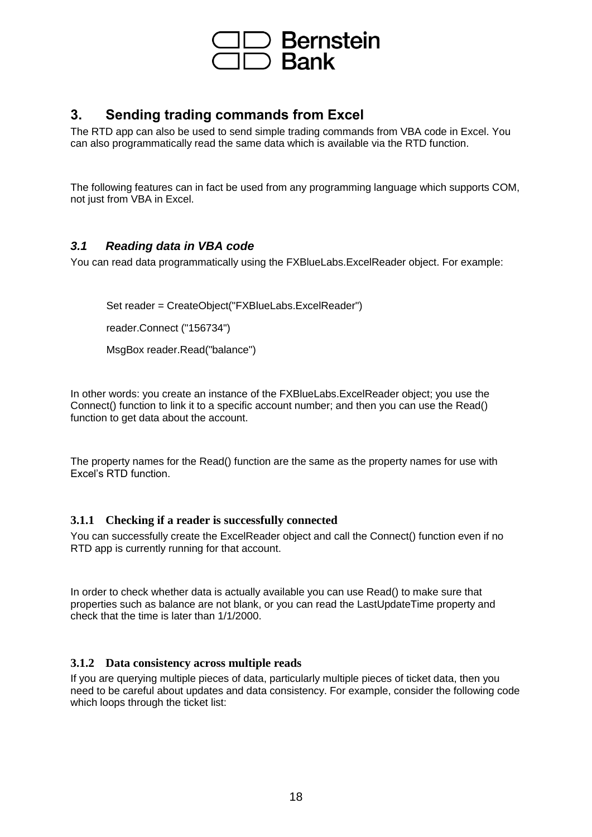

### **3. Sending trading commands from Excel**

The RTD app can also be used to send simple trading commands from VBA code in Excel. You can also programmatically read the same data which is available via the RTD function.

The following features can in fact be used from any programming language which supports COM, not just from VBA in Excel.

### *3.1 Reading data in VBA code*

You can read data programmatically using the FXBlueLabs.ExcelReader object. For example:

Set reader = CreateObject("FXBlueLabs.ExcelReader") reader.Connect ("156734")

MsgBox reader.Read("balance")

In other words: you create an instance of the FXBlueLabs.ExcelReader object; you use the Connect() function to link it to a specific account number; and then you can use the Read() function to get data about the account.

The property names for the Read() function are the same as the property names for use with Excel's RTD function.

### **3.1.1 Checking if a reader is successfully connected**

You can successfully create the ExcelReader object and call the Connect() function even if no RTD app is currently running for that account.

In order to check whether data is actually available you can use Read() to make sure that properties such as balance are not blank, or you can read the LastUpdateTime property and check that the time is later than 1/1/2000.

### **3.1.2 Data consistency across multiple reads**

If you are querying multiple pieces of data, particularly multiple pieces of ticket data, then you need to be careful about updates and data consistency. For example, consider the following code which loops through the ticket list: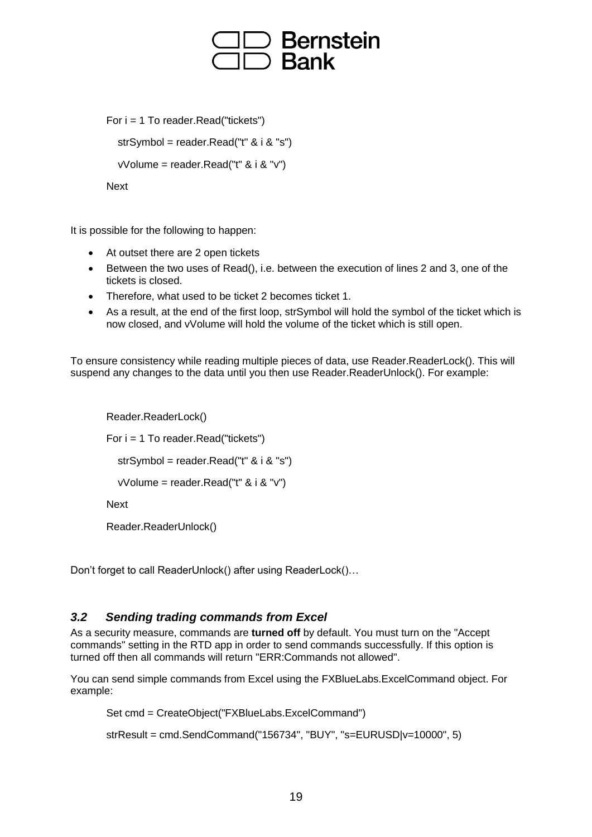## **Bernstein Bank**

```
For i = 1 To reader. Read("tickets")
```

```
 strSymbol = reader.Read("t" & i & "s")
```
vVolume = reader.Read("t"  $& 1 & 0$ "v")

```
Next
```
It is possible for the following to happen:

- At outset there are 2 open tickets
- Between the two uses of Read(), i.e. between the execution of lines 2 and 3, one of the tickets is closed.
- Therefore, what used to be ticket 2 becomes ticket 1.
- As a result, at the end of the first loop, strSymbol will hold the symbol of the ticket which is now closed, and vVolume will hold the volume of the ticket which is still open.

To ensure consistency while reading multiple pieces of data, use Reader.ReaderLock(). This will suspend any changes to the data until you then use Reader.ReaderUnlock(). For example:

```
Reader.ReaderLock()
For i = 1 To reader.Read("tickets")
   strSymbol = reader.Read("t" & i & "s")
   vVolume = reader.Read("t" & i & "v")
Next
Reader.ReaderUnlock()
```
Don't forget to call ReaderUnlock() after using ReaderLock()…

### *3.2 Sending trading commands from Excel*

As a security measure, commands are **turned off** by default. You must turn on the "Accept commands" setting in the RTD app in order to send commands successfully. If this option is turned off then all commands will return "ERR:Commands not allowed".

You can send simple commands from Excel using the FXBlueLabs.ExcelCommand object. For example:

```
Set cmd = CreateObject("FXBlueLabs.ExcelCommand")
```

```
strResult = cmd.SendCommand("156734", "BUY", "s=EURUSD|v=10000", 5)
```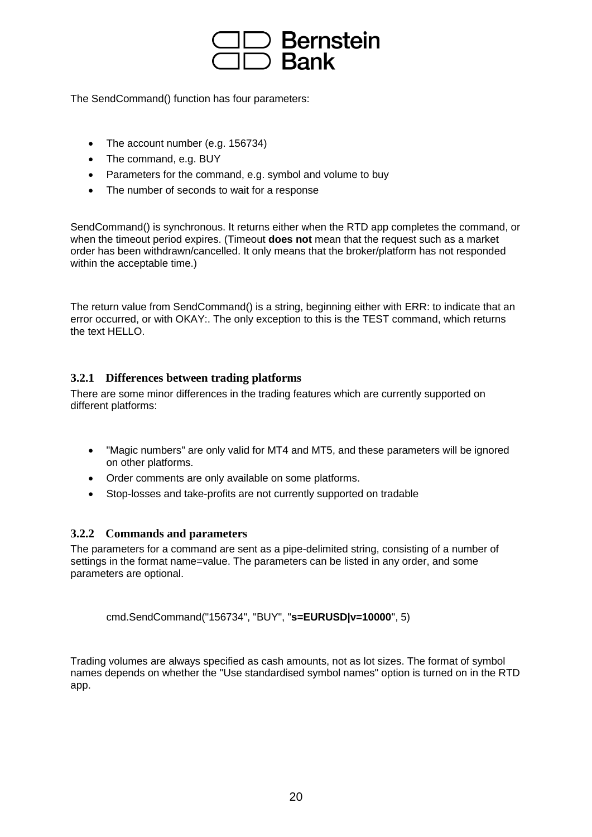

The SendCommand() function has four parameters:

- The account number (e.g. 156734)
- The command, e.g. BUY
- Parameters for the command, e.g. symbol and volume to buy
- The number of seconds to wait for a response

SendCommand() is synchronous. It returns either when the RTD app completes the command, or when the timeout period expires. (Timeout **does not** mean that the request such as a market order has been withdrawn/cancelled. It only means that the broker/platform has not responded within the acceptable time.)

The return value from SendCommand() is a string, beginning either with ERR: to indicate that an error occurred, or with OKAY:. The only exception to this is the TEST command, which returns the text HELLO.

### **3.2.1 Differences between trading platforms**

There are some minor differences in the trading features which are currently supported on different platforms:

- "Magic numbers" are only valid for MT4 and MT5, and these parameters will be ignored on other platforms.
- Order comments are only available on some platforms.
- Stop-losses and take-profits are not currently supported on tradable

### **3.2.2 Commands and parameters**

The parameters for a command are sent as a pipe-delimited string, consisting of a number of settings in the format name=value. The parameters can be listed in any order, and some parameters are optional.

cmd.SendCommand("156734", "BUY", "**s=EURUSD|v=10000**", 5)

Trading volumes are always specified as cash amounts, not as lot sizes. The format of symbol names depends on whether the "Use standardised symbol names" option is turned on in the RTD app.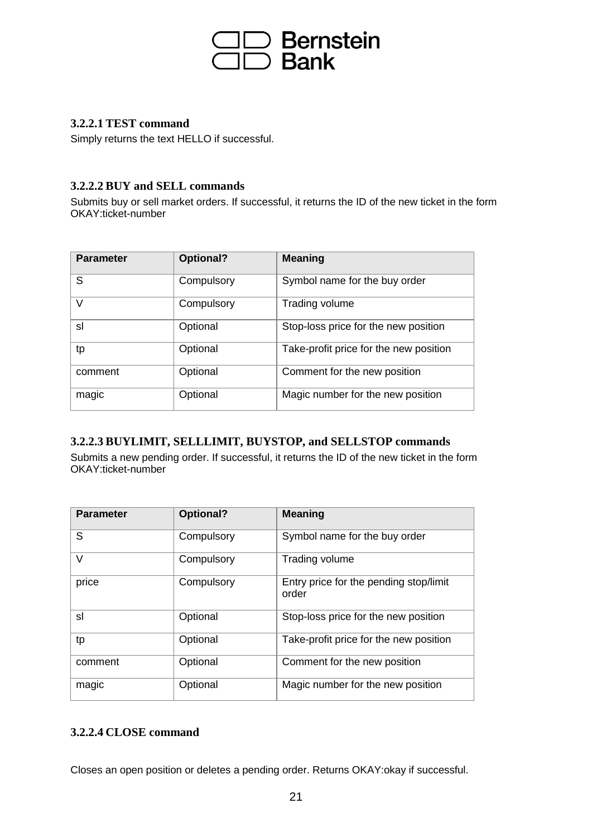

### **3.2.2.1 TEST command**

Simply returns the text HELLO if successful.

### **3.2.2.2 BUY and SELL commands**

Submits buy or sell market orders. If successful, it returns the ID of the new ticket in the form OKAY:ticket-number

| <b>Parameter</b> | Optional?  | <b>Meaning</b>                         |
|------------------|------------|----------------------------------------|
| S                | Compulsory | Symbol name for the buy order          |
| $\vee$           | Compulsory | Trading volume                         |
| sl               | Optional   | Stop-loss price for the new position   |
| tp               | Optional   | Take-profit price for the new position |
| comment          | Optional   | Comment for the new position           |
| magic            | Optional   | Magic number for the new position      |

### **3.2.2.3 BUYLIMIT, SELLLIMIT, BUYSTOP, and SELLSTOP commands**

Submits a new pending order. If successful, it returns the ID of the new ticket in the form OKAY:ticket-number

| <b>Parameter</b> | Optional?  | <b>Meaning</b>                                  |
|------------------|------------|-------------------------------------------------|
| S                | Compulsory | Symbol name for the buy order                   |
| V                | Compulsory | Trading volume                                  |
| price            | Compulsory | Entry price for the pending stop/limit<br>order |
| sl               | Optional   | Stop-loss price for the new position            |
| tp               | Optional   | Take-profit price for the new position          |
| comment          | Optional   | Comment for the new position                    |
| magic            | Optional   | Magic number for the new position               |

### **3.2.2.4 CLOSE command**

Closes an open position or deletes a pending order. Returns OKAY:okay if successful.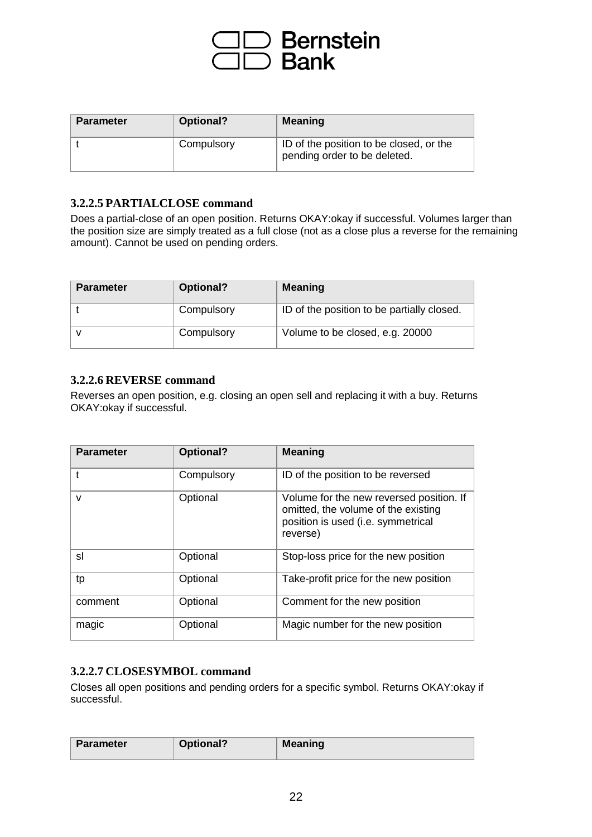

| <b>Parameter</b> | Optional?  | <b>Meaning</b>                                                          |
|------------------|------------|-------------------------------------------------------------------------|
|                  | Compulsory | ID of the position to be closed, or the<br>pending order to be deleted. |

### **3.2.2.5 PARTIALCLOSE command**

Does a partial-close of an open position. Returns OKAY:okay if successful. Volumes larger than the position size are simply treated as a full close (not as a close plus a reverse for the remaining amount). Cannot be used on pending orders.

| <b>Parameter</b> | Optional?  | <b>Meaning</b>                             |
|------------------|------------|--------------------------------------------|
|                  | Compulsory | ID of the position to be partially closed. |
|                  | Compulsory | Volume to be closed, e.g. 20000            |

### **3.2.2.6 REVERSE command**

Reverses an open position, e.g. closing an open sell and replacing it with a buy. Returns OKAY:okay if successful.

| <b>Parameter</b> | Optional?  | <b>Meaning</b>                                                                                                                    |
|------------------|------------|-----------------------------------------------------------------------------------------------------------------------------------|
|                  | Compulsory | ID of the position to be reversed                                                                                                 |
| $\mathsf{V}$     | Optional   | Volume for the new reversed position. If<br>omitted, the volume of the existing<br>position is used (i.e. symmetrical<br>reverse) |
| sl               | Optional   | Stop-loss price for the new position                                                                                              |
| tp               | Optional   | Take-profit price for the new position                                                                                            |
| comment          | Optional   | Comment for the new position                                                                                                      |
| magic            | Optional   | Magic number for the new position                                                                                                 |

### **3.2.2.7 CLOSESYMBOL command**

Closes all open positions and pending orders for a specific symbol. Returns OKAY:okay if successful.

| <b>Parameter</b> | Optional? | <b>Meaning</b> |
|------------------|-----------|----------------|
|                  |           |                |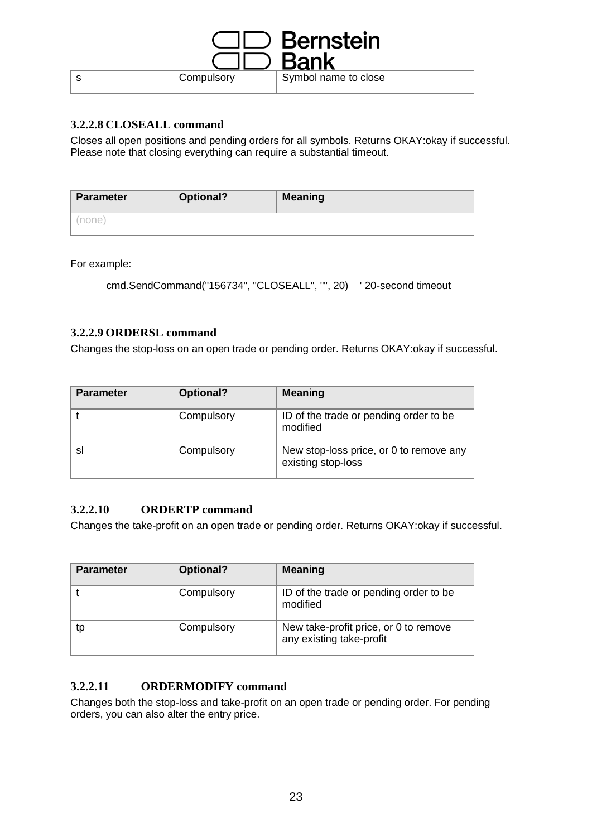|            | $\supset$ Bernstein  |
|------------|----------------------|
|            | Bank                 |
| Compulsory | Symbol name to close |

### **3.2.2.8 CLOSEALL command**

Closes all open positions and pending orders for all symbols. Returns OKAY:okay if successful. Please note that closing everything can require a substantial timeout.

| <b>Parameter</b> | Optional? | <b>Meaning</b> |
|------------------|-----------|----------------|
| none).           |           |                |

For example:

```
cmd.SendCommand("156734", "CLOSEALL", "", 20) ' 20-second timeout
```
### **3.2.2.9 ORDERSL command**

Changes the stop-loss on an open trade or pending order. Returns OKAY:okay if successful.

| <b>Parameter</b> | Optional?  | <b>Meaning</b>                                                |
|------------------|------------|---------------------------------------------------------------|
|                  | Compulsory | ID of the trade or pending order to be<br>modified            |
| sı               | Compulsory | New stop-loss price, or 0 to remove any<br>existing stop-loss |

### **3.2.2.10 ORDERTP command**

Changes the take-profit on an open trade or pending order. Returns OKAY:okay if successful.

| <b>Parameter</b> | <b>Optional?</b> | <b>Meaning</b>                                                    |
|------------------|------------------|-------------------------------------------------------------------|
|                  | Compulsory       | ID of the trade or pending order to be<br>modified                |
| tp               | Compulsory       | New take-profit price, or 0 to remove<br>any existing take-profit |

### **3.2.2.11 ORDERMODIFY command**

Changes both the stop-loss and take-profit on an open trade or pending order. For pending orders, you can also alter the entry price.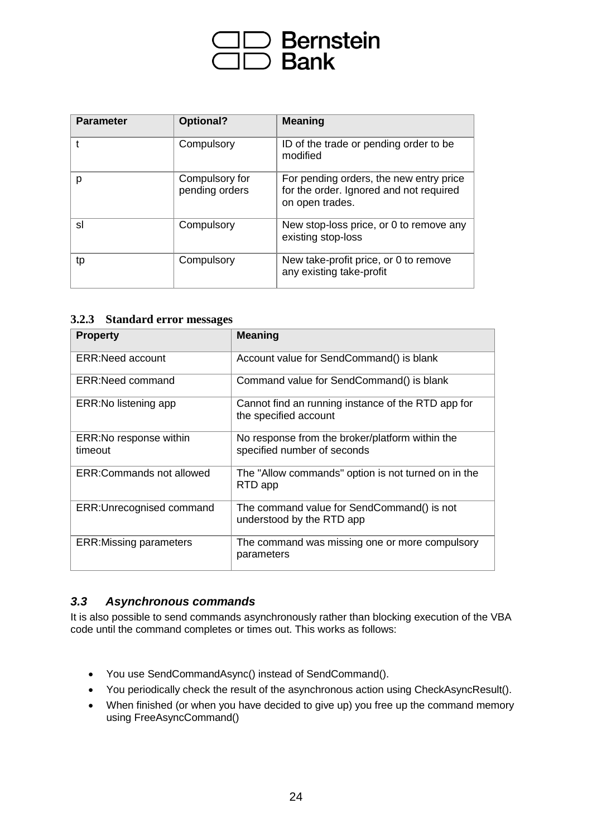# ⊃ Bernstein<br>⊃ Bank

| <b>Parameter</b> | Optional?                        | <b>Meaning</b>                                                                                        |
|------------------|----------------------------------|-------------------------------------------------------------------------------------------------------|
|                  | Compulsory                       | ID of the trade or pending order to be<br>modified                                                    |
| р                | Compulsory for<br>pending orders | For pending orders, the new entry price<br>for the order. Ignored and not required<br>on open trades. |
| sl               | Compulsory                       | New stop-loss price, or 0 to remove any<br>existing stop-loss                                         |
| tp               | Compulsory                       | New take-profit price, or 0 to remove<br>any existing take-profit                                     |

### **3.2.3 Standard error messages**

| <b>Property</b>                    | <b>Meaning</b>                                                                 |
|------------------------------------|--------------------------------------------------------------------------------|
| <b>ERR:Need account</b>            | Account value for SendCommand() is blank                                       |
| ERR: Need command                  | Command value for SendCommand() is blank                                       |
| ERR: No listening app              | Cannot find an running instance of the RTD app for<br>the specified account    |
| ERR: No response within<br>timeout | No response from the broker/platform within the<br>specified number of seconds |
| ERR:Commands not allowed           | The "Allow commands" option is not turned on in the<br>RTD app                 |
| ERR: Unrecognised command          | The command value for SendCommand() is not<br>understood by the RTD app        |
| <b>ERR:Missing parameters</b>      | The command was missing one or more compulsory<br>parameters                   |

### *3.3 Asynchronous commands*

It is also possible to send commands asynchronously rather than blocking execution of the VBA code until the command completes or times out. This works as follows:

- You use SendCommandAsync() instead of SendCommand().
- You periodically check the result of the asynchronous action using CheckAsyncResult().
- When finished (or when you have decided to give up) you free up the command memory using FreeAsyncCommand()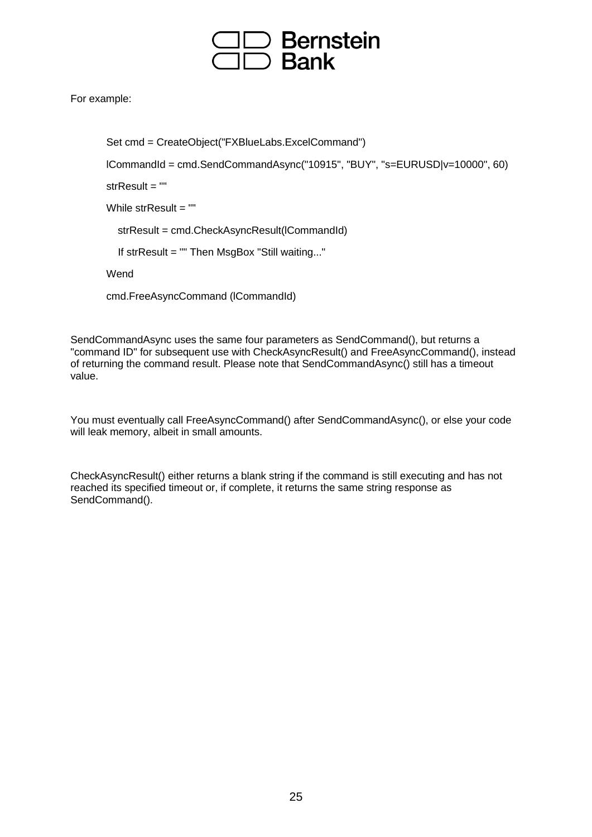

For example:

```
Set cmd = CreateObject("FXBlueLabs.ExcelCommand")
```

```
lCommandId = cmd.SendCommandAsync("10915", "BUY", "s=EURUSD|v=10000", 60)
```
strResult = ""

```
While strResult = ""
```
strResult = cmd.CheckAsyncResult(lCommandId)

If strResult = "" Then MsgBox "Still waiting..."

Wend

cmd.FreeAsyncCommand (lCommandId)

SendCommandAsync uses the same four parameters as SendCommand(), but returns a "command ID" for subsequent use with CheckAsyncResult() and FreeAsyncCommand(), instead of returning the command result. Please note that SendCommandAsync() still has a timeout value.

You must eventually call FreeAsyncCommand() after SendCommandAsync(), or else your code will leak memory, albeit in small amounts.

CheckAsyncResult() either returns a blank string if the command is still executing and has not reached its specified timeout or, if complete, it returns the same string response as SendCommand().